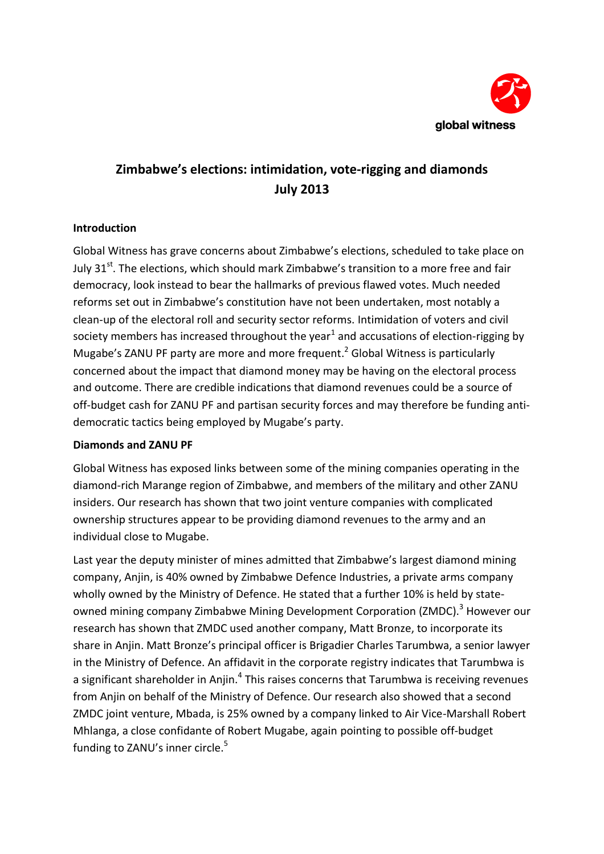

# **Zimbabwe's elections: intimidation, vote-rigging and diamonds July 2013**

## **Introduction**

Global Witness has grave concerns about Zimbabwe's elections, scheduled to take place on July 31<sup>st</sup>. The elections, which should mark Zimbabwe's transition to a more free and fair democracy, look instead to bear the hallmarks of previous flawed votes. Much needed reforms set out in Zimbabwe's constitution have not been undertaken, most notably a clean-up of the electoral roll and security sector reforms. Intimidation of voters and civil society members has increased throughout the year $^1$  and accusations of election-rigging by Mugabe's ZANU PF party are more and more frequent.<sup>2</sup> Global Witness is particularly concerned about the impact that diamond money may be having on the electoral process and outcome. There are credible indications that diamond revenues could be a source of off-budget cash for ZANU PF and partisan security forces and may therefore be funding antidemocratic tactics being employed by Mugabe's party.

#### **Diamonds and ZANU PF**

Global Witness has exposed links between some of the mining companies operating in the diamond-rich Marange region of Zimbabwe, and members of the military and other ZANU insiders. Our research has shown that two joint venture companies with complicated ownership structures appear to be providing diamond revenues to the army and an individual close to Mugabe.

Last year the deputy minister of mines admitted that Zimbabwe's largest diamond mining company, Anjin, is 40% owned by Zimbabwe Defence Industries, a private arms company wholly owned by the Ministry of Defence. He stated that a further 10% is held by stateowned mining company Zimbabwe Mining Development Corporation (ZMDC).<sup>3</sup> However our research has shown that ZMDC used another company, Matt Bronze, to incorporate its share in Anjin. Matt Bronze's principal officer is Brigadier Charles Tarumbwa, a senior lawyer in the Ministry of Defence. An affidavit in the corporate registry indicates that Tarumbwa is a significant shareholder in Anjin. $^4$  This raises concerns that Tarumbwa is receiving revenues from Anjin on behalf of the Ministry of Defence. Our research also showed that a second ZMDC joint venture, Mbada, is 25% owned by a company linked to Air Vice-Marshall Robert Mhlanga, a close confidante of Robert Mugabe, again pointing to possible off-budget funding to ZANU's inner circle.<sup>5</sup>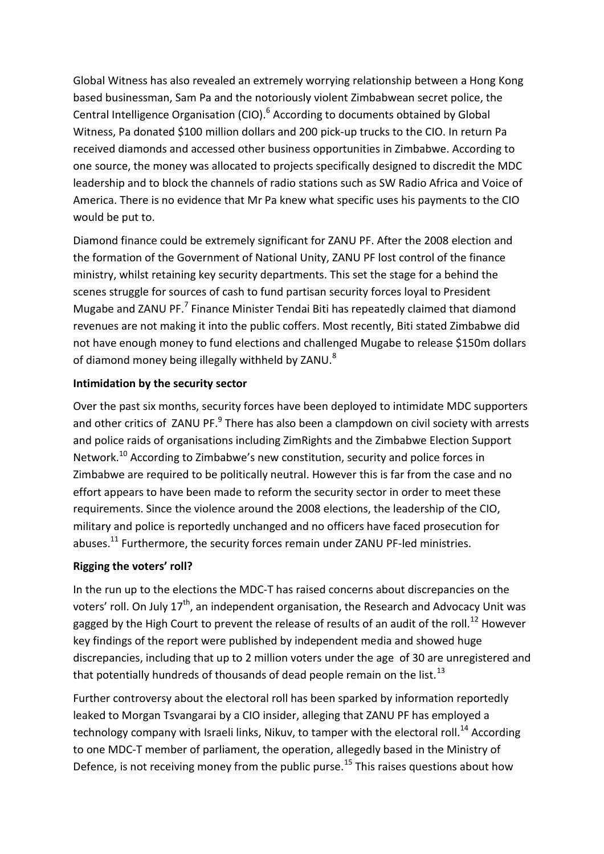Global Witness has also revealed an extremely worrying relationship between a Hong Kong based businessman, Sam Pa and the notoriously violent Zimbabwean secret police, the Central Intelligence Organisation (CIO).<sup>6</sup> According to documents obtained by Global Witness, Pa donated \$100 million dollars and 200 pick-up trucks to the CIO. In return Pa received diamonds and accessed other business opportunities in Zimbabwe. According to one source, the money was allocated to projects specifically designed to discredit the MDC leadership and to block the channels of radio stations such as SW Radio Africa and Voice of America. There is no evidence that Mr Pa knew what specific uses his payments to the CIO would be put to.

Diamond finance could be extremely significant for ZANU PF. After the 2008 election and the formation of the Government of National Unity, ZANU PF lost control of the finance ministry, whilst retaining key security departments. This set the stage for a behind the scenes struggle for sources of cash to fund partisan security forces loyal to President Mugabe and ZANU PF.<sup>7</sup> Finance Minister Tendai Biti has repeatedly claimed that diamond revenues are not making it into the public coffers. Most recently, Biti stated Zimbabwe did not have enough money to fund elections and challenged Mugabe to release \$150m dollars of diamond money being illegally withheld by ZANU.<sup>8</sup>

# **Intimidation by the security sector**

Over the past six months, security forces have been deployed to intimidate MDC supporters and other critics of ZANU PF.<sup>9</sup> There has also been a clampdown on civil society with arrests and police raids of organisations including ZimRights and the Zimbabwe Election Support Network.<sup>10</sup> According to Zimbabwe's new constitution, security and police forces in Zimbabwe are required to be politically neutral. However this is far from the case and no effort appears to have been made to reform the security sector in order to meet these requirements. Since the violence around the 2008 elections, the leadership of the CIO, military and police is reportedly unchanged and no officers have faced prosecution for abuses.<sup>11</sup> Furthermore, the security forces remain under ZANU PF-led ministries.

# **Rigging the voters' roll?**

In the run up to the elections the MDC-T has raised concerns about discrepancies on the voters' roll. On July  $17<sup>th</sup>$ , an independent organisation, the Research and Advocacy Unit was gagged by the High Court to prevent the release of results of an audit of the roll.<sup>12</sup> However key findings of the report were published by independent media and showed huge discrepancies, including that up to 2 million voters under the age of 30 are unregistered and that potentially hundreds of thousands of dead people remain on the list. $^{13}$ 

Further controversy about the electoral roll has been sparked by information reportedly leaked to Morgan Tsvangarai by a CIO insider, alleging that ZANU PF has employed a technology company with Israeli links, Nikuv, to tamper with the electoral roll.<sup>14</sup> According to one MDC-T member of parliament, the operation, allegedly based in the Ministry of Defence, is not receiving money from the public purse.<sup>15</sup> This raises questions about how